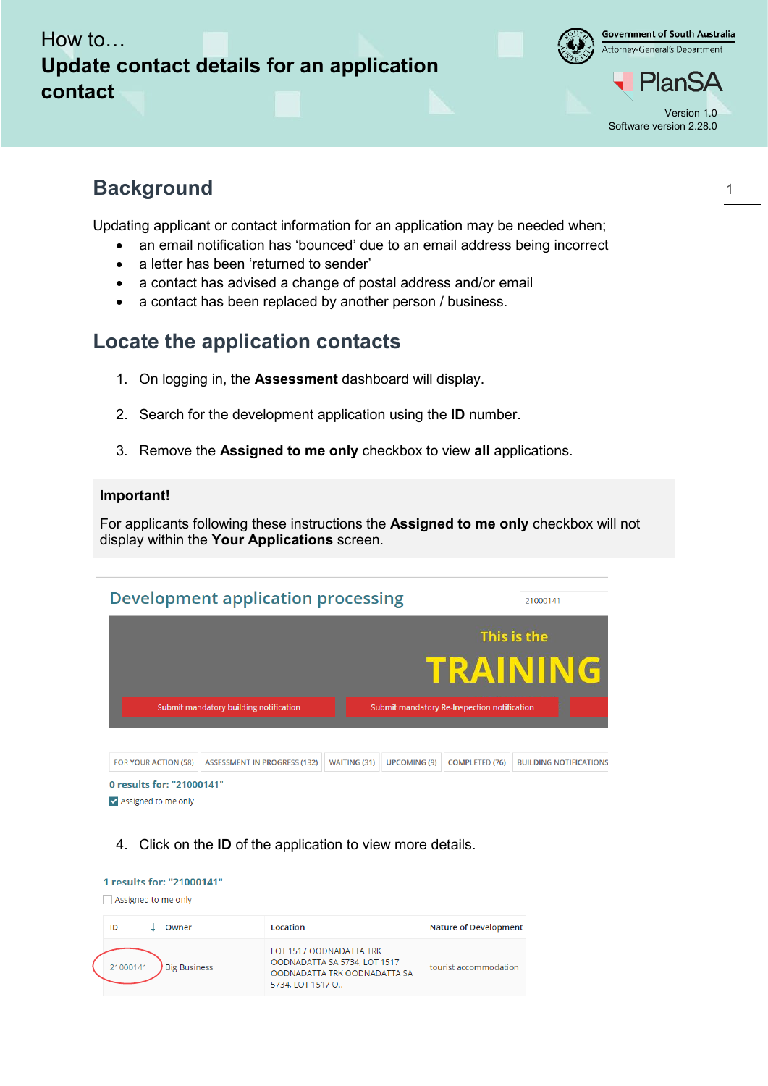

**Government of South Australia** Attorney-General's Department

lan!

# **Background**

Updating applicant or contact information for an application may be needed when;

- an email notification has 'bounced' due to an email address being incorrect
- a letter has been 'returned to sender'
- a contact has advised a change of postal address and/or email
- a contact has been replaced by another person / business.

## **Locate the application contacts**

- 1. On logging in, the **Assessment** dashboard will display.
- 2. Search for the development application using the **ID** number.
- 3. Remove the **Assigned to me only** checkbox to view **all** applications.

#### **Important!**

For applicants following these instructions the **Assigned to me only** checkbox will not display within the **Your Applications** screen.

|                                        |                                     |                     | This is the<br>TRAINING                     |                       |                               |  |
|----------------------------------------|-------------------------------------|---------------------|---------------------------------------------|-----------------------|-------------------------------|--|
| Submit mandatory building notification |                                     |                     | Submit mandatory Re-Inspection notification |                       |                               |  |
| <b>FOR YOUR ACTION (58)</b>            | <b>ASSESSMENT IN PROGRESS (132)</b> | <b>WAITING (31)</b> | <b>UPCOMING (9)</b>                         | <b>COMPLETED (76)</b> | <b>BUILDING NOTIFICATIONS</b> |  |

4. Click on the **ID** of the application to view more details.

|  | 1 results for: "21000141"<br>Assigned to me only |                     |                                                                                                             |                              |  |  |
|--|--------------------------------------------------|---------------------|-------------------------------------------------------------------------------------------------------------|------------------------------|--|--|
|  | ID                                               | Owner               | Location                                                                                                    | <b>Nature of Development</b> |  |  |
|  | 21000141                                         | <b>Big Business</b> | LOT 1517 OODNADATTA TRK<br>OODNADATTA SA 5734, LOT 1517<br>OODNADATTA TRK OODNADATTA SA<br>5734, LOT 1517 O | tourist accommodation        |  |  |